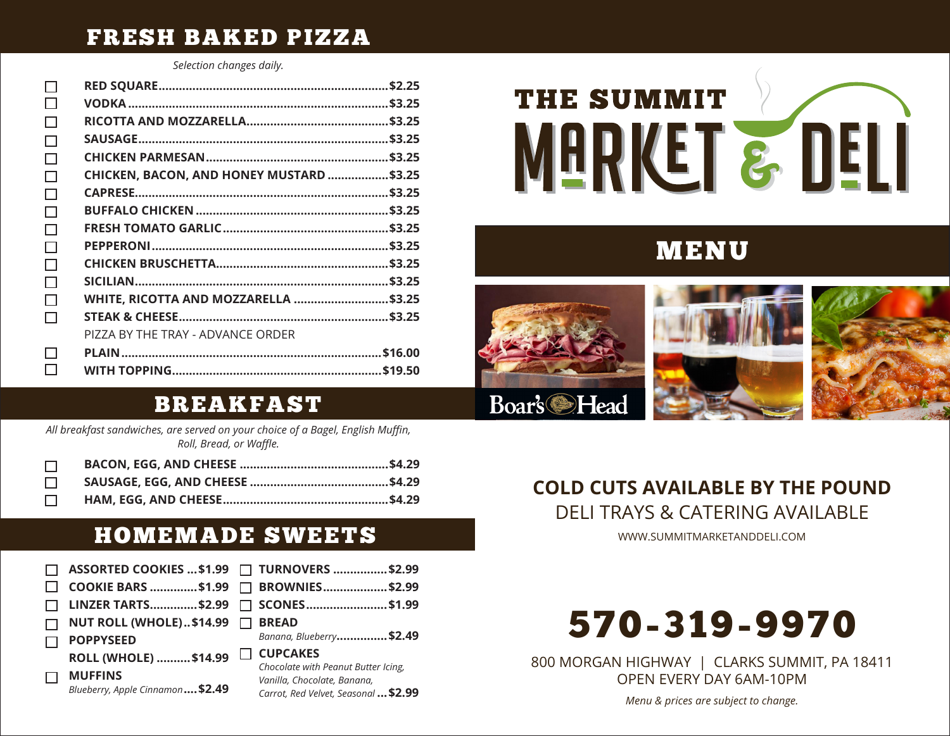#### FRESH BAKED PIZZA

*Selection changes daily.*

 $\Box$  $\Box$  $\Box$ 

| □            |                                          |  |
|--------------|------------------------------------------|--|
| H            |                                          |  |
| $\Box$       |                                          |  |
| $\Box$       |                                          |  |
| $\Box$       |                                          |  |
| □            | CHICKEN, BACON, AND HONEY MUSTARD \$3.25 |  |
| П            |                                          |  |
| $\Box$       |                                          |  |
| П            |                                          |  |
| $\Box$       |                                          |  |
| □            |                                          |  |
| □            |                                          |  |
| $\Box$       | WHITE, RICOTTA AND MOZZARELLA \$3.25     |  |
| П            |                                          |  |
|              | PIZZA BY THE TRAY - ADVANCE ORDER        |  |
| П            |                                          |  |
| $\mathsf{L}$ |                                          |  |

# **THE SUMMIT** MARKET & DELI

## MENU



#### BREAKFAST

*All breakfast sandwiches, are served on your choice of a Bagel, English Muffin, Roll, Bread, or Waffle.*

#### HOMEMADE SWEETS

|                                                    | ASSORTED COOKIES  \$1.99 □ TURNOVERS  \$2.99                                                               |
|----------------------------------------------------|------------------------------------------------------------------------------------------------------------|
|                                                    | COOKIE BARS \$1.99 □ BROWNIES\$2.99                                                                        |
|                                                    | LINZER TARTS\$2.99 □ SCONES\$1.99                                                                          |
| NUT ROLL (WHOLE)\$14.99 □                          | <b>BREAD</b>                                                                                               |
| <b>POPPYSEED</b>                                   | Banana, Blueberry\$2.49                                                                                    |
| ROLL (WHOLE)  \$14.99                              | <b>CUPCAKES</b>                                                                                            |
| <b>MUFFINS</b><br>Blueberry, Apple Cinnamon \$2.49 | Chocolate with Peanut Butter Icing,<br>Vanilla, Chocolate, Banana,<br>Carrot, Red Velvet, Seasonal  \$2.99 |

# **COLD CUTS AVAILABLE BY THE POUND**

DELI TRAYS & CATERING AVAILABLE

WWW.SUMMITMARKETANDDELI.COM



800 MORGAN HIGHWAY | CLARKS SUMMIT, PA 18411 OPEN EVERY DAY 6AM-10PM

*Menu & prices are subject to change.*